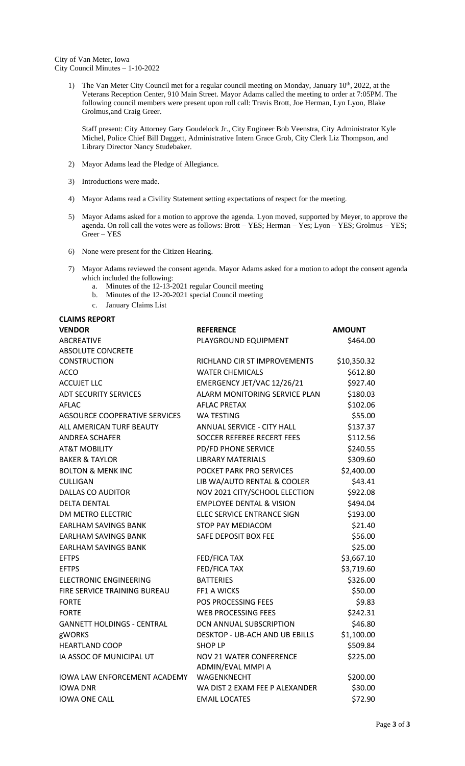City of Van Meter, Iowa City Council Minutes – 1-10-2022

> 1) The Van Meter City Council met for a regular council meeting on Monday, January 10<sup>th</sup>, 2022, at the Veterans Reception Center, 910 Main Street. Mayor Adams called the meeting to order at 7:05PM. The following council members were present upon roll call: Travis Brott, Joe Herman, Lyn Lyon, Blake Grolmus,and Craig Greer.

Staff present: City Attorney Gary Goudelock Jr., City Engineer Bob Veenstra, City Administrator Kyle Michel, Police Chief Bill Daggett, Administrative Intern Grace Grob, City Clerk Liz Thompson, and Library Director Nancy Studebaker.

- 2) Mayor Adams lead the Pledge of Allegiance.
- 3) Introductions were made.
- 4) Mayor Adams read a Civility Statement setting expectations of respect for the meeting.
- 5) Mayor Adams asked for a motion to approve the agenda. Lyon moved, supported by Meyer, to approve the agenda. On roll call the votes were as follows: Brott – YES; Herman – Yes; Lyon – YES; Grolmus – YES; Greer – YES
- 6) None were present for the Citizen Hearing.
- 7) Mayor Adams reviewed the consent agenda. Mayor Adams asked for a motion to adopt the consent agenda which included the following:
	- a. Minutes of the 12-13-2021 regular Council meeting
	- b. Minutes of the 12-20-2021 special Council meeting
	- c. January Claims List

**CLAIMS REPORT**

| <b>VENDOR</b>                       | <b>REFERENCE</b>                      | <b>AMOUNT</b> |
|-------------------------------------|---------------------------------------|---------------|
| <b>ABCREATIVE</b>                   | PLAYGROUND EQUIPMENT                  | \$464.00      |
| <b>ABSOLUTE CONCRETE</b>            |                                       |               |
| <b>CONSTRUCTION</b>                 | RICHLAND CIR ST IMPROVEMENTS          | \$10,350.32   |
| <b>ACCO</b>                         | <b>WATER CHEMICALS</b>                | \$612.80      |
| <b>ACCUJET LLC</b>                  | EMERGENCY JET/VAC 12/26/21            | \$927.40      |
| <b>ADT SECURITY SERVICES</b>        | ALARM MONITORING SERVICE PLAN         | \$180.03      |
| <b>AFLAC</b>                        | <b>AFLAC PRETAX</b>                   | \$102.06      |
| AGSOURCE COOPERATIVE SERVICES       | WA TESTING                            | \$55.00       |
| ALL AMERICAN TURF BEAUTY            | ANNUAL SERVICE - CITY HALL            | \$137.37      |
| <b>ANDREA SCHAFER</b>               | <b>SOCCER REFEREE RECERT FEES</b>     | \$112.56      |
| <b>AT&amp;T MOBILITY</b>            | <b>PD/FD PHONE SERVICE</b>            | \$240.55      |
| <b>BAKER &amp; TAYLOR</b>           | <b>LIBRARY MATERIALS</b>              | \$309.60      |
| <b>BOLTON &amp; MENK INC</b>        | POCKET PARK PRO SERVICES              | \$2,400.00    |
| <b>CULLIGAN</b>                     | LIB WA/AUTO RENTAL & COOLER           | \$43.41       |
| DALLAS CO AUDITOR                   | NOV 2021 CITY/SCHOOL ELECTION         | \$922.08      |
| <b>DELTA DENTAL</b>                 | <b>EMPLOYEE DENTAL &amp; VISION</b>   | \$494.04      |
| DM METRO ELECTRIC                   | ELEC SERVICE ENTRANCE SIGN            | \$193.00      |
| <b>EARLHAM SAVINGS BANK</b>         | STOP PAY MEDIACOM                     | \$21.40       |
| <b>EARLHAM SAVINGS BANK</b>         | SAFE DEPOSIT BOX FEE                  | \$56.00       |
| <b>EARLHAM SAVINGS BANK</b>         |                                       | \$25.00       |
| <b>EFTPS</b>                        | FED/FICA TAX                          | \$3,667.10    |
| <b>EFTPS</b>                        | <b>FED/FICA TAX</b>                   | \$3,719.60    |
| <b>ELECTRONIC ENGINEERING</b>       | <b>BATTERIES</b>                      | \$326.00      |
| FIRE SERVICE TRAINING BUREAU        | <b>FF1 A WICKS</b>                    | \$50.00       |
| <b>FORTE</b>                        | POS PROCESSING FEES                   | \$9.83        |
| <b>FORTE</b>                        | <b>WEB PROCESSING FEES</b>            | \$242.31      |
| <b>GANNETT HOLDINGS - CENTRAL</b>   | DCN ANNUAL SUBSCRIPTION               | \$46.80       |
| gWORKS                              | <b>DESKTOP - UB-ACH AND UB EBILLS</b> | \$1,100.00    |
| <b>HEARTLAND COOP</b>               | SHOP LP                               | \$509.84      |
| IA ASSOC OF MUNICIPAL UT            | <b>NOV 21 WATER CONFERENCE</b>        | \$225.00      |
|                                     | ADMIN/EVAL MMPI A                     |               |
| <b>IOWA LAW ENFORCEMENT ACADEMY</b> | WAGENKNECHT                           | \$200.00      |
| <b>IOWA DNR</b>                     | WA DIST 2 EXAM FEE P ALEXANDER        | \$30.00       |
| <b>IOWA ONE CALL</b>                | <b>EMAIL LOCATES</b>                  | \$72.90       |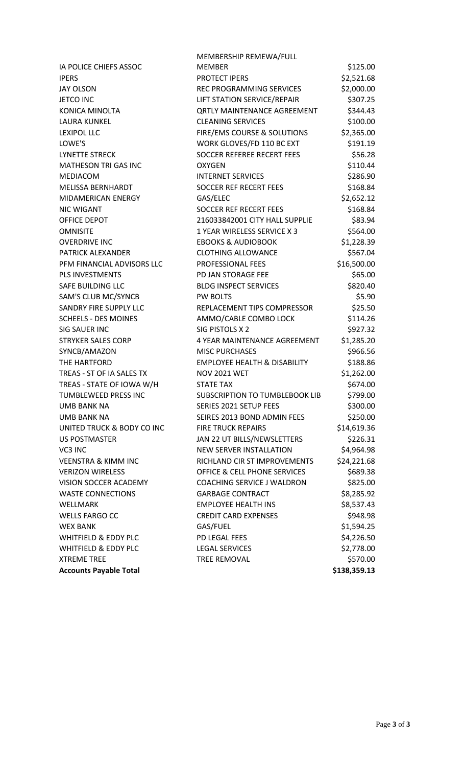|                                | MEMBERSHIP REMEWA/FULL                  |              |
|--------------------------------|-----------------------------------------|--------------|
| IA POLICE CHIEFS ASSOC         | <b>MEMBER</b>                           | \$125.00     |
| <b>IPERS</b>                   | <b>PROTECT IPERS</b>                    | \$2,521.68   |
| <b>JAY OLSON</b>               | REC PROGRAMMING SERVICES                | \$2,000.00   |
| JETCO INC                      | LIFT STATION SERVICE/REPAIR             | \$307.25     |
| KONICA MINOLTA                 | <b>QRTLY MAINTENANCE AGREEMENT</b>      | \$344.43     |
| LAURA KUNKEL                   | <b>CLEANING SERVICES</b>                | \$100.00     |
| <b>LEXIPOL LLC</b>             | FIRE/EMS COURSE & SOLUTIONS             | \$2,365.00   |
| LOWE'S                         | WORK GLOVES/FD 110 BC EXT               | \$191.19     |
| LYNETTE STRECK                 | <b>SOCCER REFEREE RECERT FEES</b>       | \$56.28      |
| MATHESON TRI GAS INC           | <b>OXYGEN</b>                           | \$110.44     |
| MEDIACOM                       | <b>INTERNET SERVICES</b>                | \$286.90     |
| MELISSA BERNHARDT              | <b>SOCCER REF RECERT FEES</b>           | \$168.84     |
| MIDAMERICAN ENERGY             | GAS/ELEC                                | \$2,652.12   |
| <b>NIC WIGANT</b>              | <b>SOCCER REF RECERT FEES</b>           | \$168.84     |
| OFFICE DEPOT                   | 216033842001 CITY HALL SUPPLIE          | \$83.94      |
| <b>OMNISITE</b>                | 1 YEAR WIRELESS SERVICE X 3             | \$564.00     |
| <b>OVERDRIVE INC</b>           | <b>EBOOKS &amp; AUDIOBOOK</b>           | \$1,228.39   |
| PATRICK ALEXANDER              | <b>CLOTHING ALLOWANCE</b>               | \$567.04     |
| PFM FINANCIAL ADVISORS LLC     | PROFESSIONAL FEES                       | \$16,500.00  |
| PLS INVESTMENTS                | PD JAN STORAGE FEE                      | \$65.00      |
| SAFE BUILDING LLC              | <b>BLDG INSPECT SERVICES</b>            | \$820.40     |
| SAM'S CLUB MC/SYNCB            | <b>PW BOLTS</b>                         | \$5.90       |
| SANDRY FIRE SUPPLY LLC         | REPLACEMENT TIPS COMPRESSOR             | \$25.50      |
| <b>SCHEELS - DES MOINES</b>    | AMMO/CABLE COMBO LOCK                   | \$114.26     |
| SIG SAUER INC                  | SIG PISTOLS X 2                         | \$927.32     |
| <b>STRYKER SALES CORP</b>      | 4 YEAR MAINTENANCE AGREEMENT            | \$1,285.20   |
| SYNCB/AMAZON                   | <b>MISC PURCHASES</b>                   | \$966.56     |
| THE HARTFORD                   | <b>EMPLOYEE HEALTH &amp; DISABILITY</b> | \$188.86     |
| TREAS - ST OF IA SALES TX      | <b>NOV 2021 WET</b>                     | \$1,262.00   |
| TREAS - STATE OF IOWA W/H      | <b>STATE TAX</b>                        | \$674.00     |
| TUMBLEWEED PRESS INC           | <b>SUBSCRIPTION TO TUMBLEBOOK LIB</b>   | \$799.00     |
| UMB BANK NA                    | SERIES 2021 SETUP FEES                  | \$300.00     |
| <b>UMB BANK NA</b>             | SEIRES 2013 BOND ADMIN FEES             | \$250.00     |
| UNITED TRUCK & BODY CO INC     | <b>FIRE TRUCK REPAIRS</b>               | \$14,619.36  |
| US POSTMASTER                  | JAN 22 UT BILLS/NEWSLETTERS             | \$226.31     |
| VC3 INC                        | <b>NEW SERVER INSTALLATION</b>          | \$4,964.98   |
| <b>VEENSTRA &amp; KIMM INC</b> | RICHLAND CIR ST IMPROVEMENTS            | \$24,221.68  |
| <b>VERIZON WIRELESS</b>        | <b>OFFICE &amp; CELL PHONE SERVICES</b> | \$689.38     |
| VISION SOCCER ACADEMY          | COACHING SERVICE J WALDRON              | \$825.00     |
| <b>WASTE CONNECTIONS</b>       | <b>GARBAGE CONTRACT</b>                 | \$8,285.92   |
| WELLMARK                       | <b>EMPLOYEE HEALTH INS</b>              | \$8,537.43   |
| <b>WELLS FARGO CC</b>          | <b>CREDIT CARD EXPENSES</b>             | \$948.98     |
| <b>WEX BANK</b>                | GAS/FUEL                                | \$1,594.25   |
| WHITFIELD & EDDY PLC           | PD LEGAL FEES                           | \$4,226.50   |
| WHITFIELD & EDDY PLC           | <b>LEGAL SERVICES</b>                   | \$2,778.00   |
| <b>XTREME TREE</b>             | <b>TREE REMOVAL</b>                     | \$570.00     |
| <b>Accounts Payable Total</b>  |                                         | \$138,359.13 |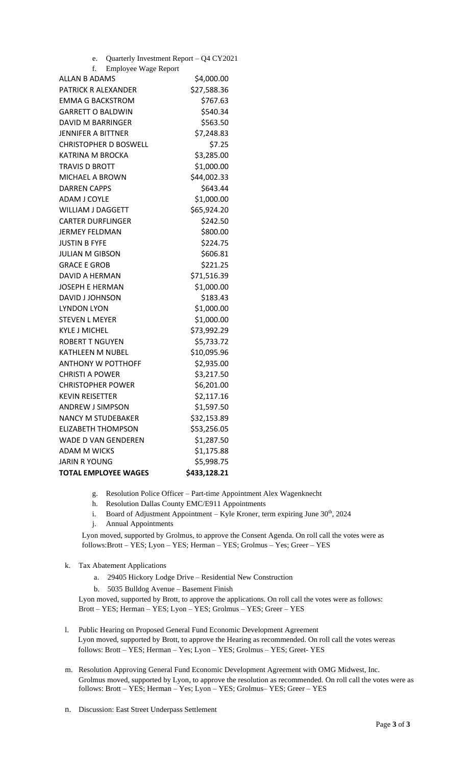| Quarterly Investment Report - Q4 CY2021<br>e. |              |
|-----------------------------------------------|--------------|
| f.<br><b>Employee Wage Report</b>             |              |
| <b>ALLAN B ADAMS</b>                          | \$4,000.00   |
| PATRICK R ALEXANDER                           | \$27,588.36  |
| <b>EMMA G BACKSTROM</b>                       | \$767.63     |
| <b>GARRETT O BALDWIN</b>                      | \$540.34     |
| <b>DAVID M BARRINGER</b>                      | \$563.50     |
| JENNIFER A BITTNER                            | \$7,248.83   |
| <b>CHRISTOPHER D BOSWELL</b>                  | \$7.25       |
| KATRINA M BROCKA                              | \$3,285.00   |
| TRAVIS D BROTT                                | \$1,000.00   |
| MICHAEL A BROWN                               | \$44,002.33  |
| <b>DARREN CAPPS</b>                           | \$643.44     |
| <b>ADAM J COYLE</b>                           | \$1,000.00   |
| <b>WILLIAM J DAGGETT</b>                      | \$65,924.20  |
| <b>CARTER DURFLINGER</b>                      | \$242.50     |
| <b>JERMEY FELDMAN</b>                         | \$800.00     |
| <b>JUSTIN B FYFE</b>                          | \$224.75     |
| <b>JULIAN M GIBSON</b>                        | \$606.81     |
| <b>GRACE E GROB</b>                           | \$221.25     |
| DAVID A HERMAN                                | \$71,516.39  |
| JOSEPH E HERMAN                               | \$1,000.00   |
| DAVID J JOHNSON                               | \$183.43     |
| <b>LYNDON LYON</b>                            | \$1,000.00   |
| <b>STEVEN L MEYER</b>                         | \$1,000.00   |
| <b>KYLE J MICHEL</b>                          | \$73,992.29  |
| <b>ROBERT T NGUYEN</b>                        | \$5,733.72   |
| KATHLEEN M NUBEL                              | \$10,095.96  |
| <b>ANTHONY W POTTHOFF</b>                     | \$2,935.00   |
| <b>CHRISTI A POWER</b>                        | \$3,217.50   |
| <b>CHRISTOPHER POWER</b>                      | \$6,201.00   |
| KEVIN REISETTER                               | \$2,117.16   |
| <b>ANDREW J SIMPSON</b>                       | \$1,597.50   |
| <b>NANCY M STUDEBAKER</b>                     | \$32,153.89  |
| <b>ELIZABETH THOMPSON</b>                     | \$53,256.05  |
| WADE D VAN GENDEREN                           | \$1,287.50   |
| <b>ADAM M WICKS</b>                           | \$1,175.88   |
| JARIN R YOUNG                                 | \$5,998.75   |
| <b>TOTAL EMPLOYEE WAGES</b>                   | \$433,128.21 |

- g. Resolution Police Officer Part-time Appointment Alex Wagenknecht
- h. Resolution Dallas County EMC/E911 Appointments
- i. Board of Adjustment Appointment Kyle Kroner, term expiring June 30<sup>th</sup>, 2024
- j. Annual Appointments

Lyon moved, supported by Grolmus, to approve the Consent Agenda. On roll call the votes were as follows:Brott – YES; Lyon – YES; Herman – YES; Grolmus – Yes; Greer – YES

## k. Tax Abatement Applications

- a. 29405 Hickory Lodge Drive Residential New Construction
- b. 5035 Bulldog Avenue Basement Finish

Lyon moved, supported by Brott, to approve the applications. On roll call the votes were as follows: Brott – YES; Herman – YES; Lyon – YES; Grolmus – YES; Greer – YES

- l. Public Hearing on Proposed General Fund Economic Development Agreement Lyon moved, supported by Brott, to approve the Hearing as recommended. On roll call the votes wereas follows: Brott – YES; Herman – Yes; Lyon – YES; Grolmus – YES; Greet- YES
- m. Resolution Approving General Fund Economic Development Agreement with OMG Midwest, Inc. Grolmus moved, supported by Lyon, to approve the resolution as recommended. On roll call the votes were as follows: Brott – YES; Herman – Yes; Lyon – YES; Grolmus– YES; Greer – YES
- n. Discussion: East Street Underpass Settlement